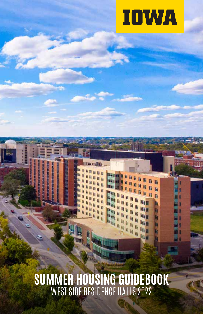

**SUMMER HOUSING GUIDEBOOK** WEST SIDE RESIDENCE HALLS 2022

ii

Ìj ħ ħ

li īī H li.

ū

呵

m

iii. 咖 响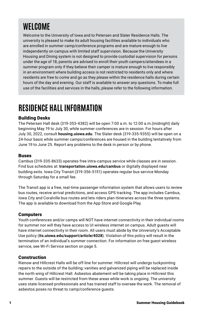# **WELCOME**

Welcome to the University of Iowa and to Petersen and Slater Residence Halls. The university is pleased to make its adult housing facilities available to individuals who are enrolled in summer camp/conference programs and are mature enough to live independently on campus with limited staff supervision. Because the University Housing and Dining system is not designed to provide custodial supervision for persons under the age of 18, parents are advised to enroll their youth campers/attendees in a summer program only if they believe their camper is mature enough to live responsibly in an environment where building access is not restricted to residents only and where residents are free to come and go as they please within the residence halls during certain hours of the day and evening. Our staff is available to answer any questions. To make full use of the facilities and services in the halls, please refer to the following information.

# **RESIDENCE HALL INFORMATION**

# Building Desks

The Petersen Hall desk (319-353-4382) will be open 7:00 a.m. to 12:00 a.m.(midnight) daily beginning May 19 to July 30, while summer conferences are in session. For hours after July 30, 2022, consult **housing.uiowa.edu**. The Slater desk (319-335-9355) will be open on a 24-hour basis while summer camps/conferences are housed in the building tentatively from June 19 to June 25. Report any problems to the desk in person or by phone.

### Buses

Cambus (319-335-8633) operates free intra-campus service while classes are in session. Find bus schedules at: **transportation.uiowa.edu/cambus** or digitally displayed near building exits. Iowa City Transit (319-356-5151) operates regular bus service Monday through Saturday for a small fee.

The Transit app is a free, real-time passenger information system that allows users to review bus routes, receive arrival predictions, and access GPS tracking. The app includes Cambus, Iowa City and Coralville bus routes and lets riders plan itineraries across the three systems. The app is available to download from the App Store and Google Play.

### **Computers**

Youth conferences and/or camps will NOT have internet connectivity in their individual rooms for summer nor will they have access to UI wireless internet on campus. Adult guests will have internet connectivity in their room. All users must abide by the University's Acceptable Use policy (**its.uiowa.edu/support/article/4028**). Violation of this policy will result in the termination of an individual's summer connection. For information on free guest wireless service, see Wi-Fi Service section on page 5.

### **Construction**

Rienow and Hillcrest Halls will be off-line for summer. Hillcrest will undergo tuckpointing repairs to the outside of the building; vanities and galvanized piping will be replaced inside the north wing of Hillcrest Hall. Asbestos abatement will be taking place in Hillcrest this summer. Guests will be restricted from these areas while work is ongoing. The university uses state-licensed professionals and has trained staff to oversee the work. The removal of asbestos poses no threat to camp/conference guests.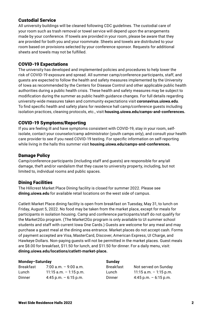### Custodial Service

All university buildings will be cleaned following CDC guidelines. The custodial care of your room such as trash removal or towel service will depend upon the arrangements made by your conference. If towels are provided in your room, please be aware that they are provided for both you and your roommate. Sheets and towels are distributed to your room based on provisions selected by your conference sponsor. Requests for additional sheets and towels may not be fulfilled.

### COVID-19 Expectations

The university has developed and implemented policies and procedures to help lower the risk of COVID-19 exposure and spread. All summer camp/conference participants, staff, and guests are expected to follow the health and safety measures implemented by the University of Iowa as recommended by the Centers for Disease Control and other applicable public health authorities during a public health crisis. These health and safety measures may be subject to modification during the summer as public health guidance changes. For full details regarding university-wide measures taken and community expectations visit **coronavirus.uiowa.edu**. To find specific health and safety plans for residence hall camp/conference guests including isolation practices, cleaning protocols, etc., visit **housing.uiowa.edu/camps-and-conferences.**

### COVID-19 Symptoms/Reporting

If you are feeling ill and have symptoms consistent with COVID-19, stay in your room, selfisolate, contact your counselor/camp administrator (youth camps only), and consult your health care provider to see if you need COVID-19 testing. For specific information on self-reporting while living in the halls this summer visit **housing.uiowa.edu/camps-and-conferences.**

### Damage Policy

Camp/conference participants (including staff and guests) are responsible for any/all damage, theft and/or vandalism that they cause to university property, including, but not limited to, individual rooms and public spaces.

### Dining Facilities

The Hillcrest Market Place Dining facility is closed for summer 2022. Please see **dining.uiowa.edu** for available retail locations on the west side of campus.

Catlett Market Place dining facility is open from breakfast on Tuesday, May 31, to lunch on Friday, August 5, 2022. No food may be taken from the market place, except for meals for participants in isolation housing. Camp and conference participants/staff do not qualify for the Market2Go program. (The Market2Go program is only available to UI summer school students and staff with current Iowa One Cards.) Guests are welcome for any meal and may purchase a guest meal at the dining area entrance. Market places do not accept cash. Forms of payment accepted are Visa, MasterCard, Discover, American Express, UI Charge, and Hawkeye Dollars. Non-paying guests will not be permitted in the market places. Guest meals are \$8.00 for breakfast, \$11.50 for lunch, and \$11.50 for dinner. For a daily menu, visit: **dining.uiowa.edu/locations/catlett-market-place.**

| Monday-Saturday |                          | Sunday    |                           |
|-----------------|--------------------------|-----------|---------------------------|
| Breakfast       | $7:00$ a.m. $-9:00$ a.m. | Breakfast | Not served on Sunday      |
| Lunch           | 11:15 a.m. $-1:15$ p.m.  | Lunch     | $11:15$ a.m. $-1:15$ p.m. |
| Dinner          | $4:45$ p.m. $-6:15$ p.m. | Dinner    | 4:45 p.m. $-6:15$ p.m.    |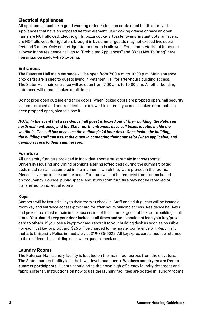# Electrical Appliances

All appliances must be in good working order. Extension cords must be UL approved. Appliances that have an exposed heating element, use cooking grease or have an open flame are NOT allowed. Electric grills, pizza cookers, toaster ovens, instant pots, air fryers, are NOT allowed. Refrigerators brought in by summer guests may not exceed five cubic feet and 9 amps. Only one refrigerator per room is allowed. For a complete list of items not allowed in the residence hall, go to "Prohibited Appliances" and "What Not To Bring" here: **housing.uiowa.edu/what-to-bring.**

### **Entrances**

The Petersen Hall main entrance will be open from 7:00 a.m. to 10:00 p.m. Main entrance prox cards are issued to guests living in Petersen Hall for after-hours building access. The Slater Hall main entrance will be open from 7:00 a.m. to 10:00 p.m. All other building entrances will remain locked at all times.

Do not prop open outside entrance doors. When locked doors are propped open, hall security is compromised and non-residents are allowed to enter. If you see a locked door that has been propped open, please close it.

*NOTE: In the event that a residence hall guest is locked out of their building, the Petersen north main entrance, and the Slater north entrances have call boxes located inside the vestibule. The call box accesses the building's 24 hour desk. Once inside the building, the building staff can assist the guest in contacting their counselor (when applicable) and gaining access to their summer room.* 

### Furniture

All university furniture provided in individual rooms must remain in those rooms. University Housing and Dining prohibits altering lofted beds during the summer; lofted beds must remain assembled in the manner in which they were pre-set in the rooms. Please leave mattresses on the beds. Furniture will not be removed from rooms based on occupancy. Lounge, public space, and study room furniture may not be removed or transferred to individual rooms.

### Keys

Campers will be issued a key to their room at check in. Staff and adult guests will be issued a room key and entrance access/prox card for after-hours building access. Residence hall keys and prox cards must remain in the possession of the summer guest of the room/building at all times. **You should keep your door locked at all times and you should not loan your key/prox card to others.** If you lose a key/prox card, report it to your building desk as soon as possible. For each lost key or prox card, \$25 will be charged to the master conference bill. Report any thefts to University Police immediately at 319-335-5022. All keys/prox cards must be returned to the residence hall building desk when guests check out.

### Laundry Rooms

The Petersen Hall laundry facility is located on the main floor across from the elevators. The Slater laundry facility is in the lower level (basement). **Washers and dryers are free to summer participants.** Guests should bring their own high efficiency laundry detergent and fabric softener. Instructions on how to use the laundry facilities are posted in laundry rooms.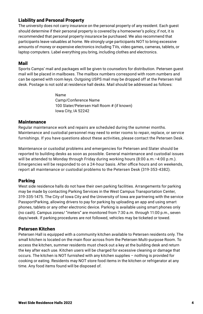# Liability and Personal Property

The university does not carry insurance on the personal property of any resident. Each guest should determine if their personal property is covered by a homeowner's policy; if not, it is recommended that personal property insurance be purchased. We also recommend that participants leave valuables at home. We strongly urge participants NOT to bring excessive amounts of money or expensive electronics including TVs, video games, cameras, tablets, or laptop computers. Label everything you bring, including clothes and electronics.

### Mail

Sports Camps' mail and packages will be given to counselors for distribution. Petersen guest mail will be placed in mailboxes. The mailbox numbers correspond with room numbers and can be opened with room keys. Outgoing USPS mail may be dropped off at the Petersen Hall desk. Postage is not sold at residence hall desks. Mail should be addressed as follows:

> Name Camp/Conference Name 100 Slater/Petersen Hall Room # (if known) Iowa City, IA 52242

### **Maintenance**

Regular maintenance work and repairs are scheduled during the summer months. Maintenance and custodial personnel may need to enter rooms to repair, replace, or service furnishings. If you have questions about these activities, please contact the Petersen Desk.

Maintenance or custodial problems and emergencies for Petersen and Slater should be reported to building desks as soon as possible. General maintenance and custodial issues will be attended to Monday through Friday during working hours (8:00 a.m.–4:00 p.m.). Emergencies will be responded to on a 24-hour basis. After office hours and on weekends, report all maintenance or custodial problems to the Petersen Desk (319-353-4382).

# Parking

West side residence halls do not have their own parking facilities. Arrangements for parking may be made by contacting Parking Services in the West Campus Transportation Center, 319-335-1475. The City of Iowa City and the University of Iowa are partnering with the service PassportParking, allowing drivers to pay for parking by uploading an app and using smart phones, tablets or any other electronic device. Parking is available using smart phones only (no cash). Campus zones/ "meters" are monitored from 7:30 a.m. through 11:00 p.m., seven days/week. If parking procedures are not followed, vehicles may be ticketed or towed.

### Petersen Kitchen

Petersen Hall is equipped with a community kitchen available to Petersen residents only. The small kitchen is located on the main floor across from the Petersen Multi-purpose Room. To access the kitchen, summer residents must check out a key at the building desk and return the key after each use. Kitchen users will be charged for excessive cleaning or damage that occurs. The kitchen is NOT furnished with any kitchen supplies – nothing is provided for cooking or eating. Residents may NOT store food items in the kitchen or refrigerator at any time. Any food items found will be disposed of.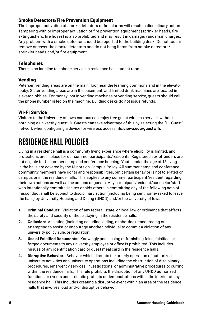# Smoke Detectors/Fire Prevention Equipment

The improper activation of smoke detectors or fire alarms will result in disciplinary action. Tampering with or improper activation of fire prevention equipment (sprinkler heads, fire extinguishers, fire hoses) is also prohibited and may result in damage/vandalism charges. Any problem with a smoke detector should be reported to the building desk. Do not touch/ remove or cover the smoke detectors and do not hang items from smoke detectors/ sprinkler heads and/or fire equipment.

### Telephones

There is no landline telephone service in residence hall student rooms.

# Vending

Petersen vending areas are on the main floor near the learning commons and in the elevator lobby. Slater vending areas are in the basement, and limited drink machines are located in elevator lobbies. For money lost in vending machines or vending service, guests should call the phone number listed on the machine. Building desks do not issue refunds.

# Wi-Fi Service

Visitors to the University of Iowa campus can enjoy free guest wireless service, without obtaining a university guest ID. Guests can take advantage of this by selecting the "UI-Guest" network when configuring a device for wireless access. **its.uiowa.edu/guestwifi.**

# **RESIDENCE HALL POLICIES**

Living in a residence hall is a community living experience where eligibility is limited, and protections are in place for our summer participants/residents. Registered sex offenders are not eligible for UI summer camp and conference housing. Youth under the age of 18 living in the halls are covered by the Minors on Campus Policy. All summer camp and conference community members have rights and responsibilities, but certain behavior is not tolerated on campus or in the residence halls. This applies to any summer participant/resident regarding their own actions as well as the actions of guests. Any participant/resident/counselor/staff who intentionally commits, incites or aids others in committing any of the following acts of misconduct shall be subject to disciplinary action (including being sent home/asked to leave the halls) by University Housing and Dining (UH&D) and/or the University of Iowa.

- 1. Criminal Conduct: Violation of any federal, state, or local law or ordinance that affects the safety and security of those staying in the residence halls.
- 2. Collusion: Assisting (including colluding, aiding, or abetting), encouraging or attempting to assist or encourage another individual to commit a violation of any university policy, rule, or regulation.
- 3. Use of Falsified Documents: Knowingly possessing or furnishing false, falsified, or forged documents to any university employee or office is prohibited. This includes misuse of any identification card or guest meal card in the residence halls.
- 4. Disruptive Behavior: Behavior which disrupts the orderly operation of authorized university activities and university operations including the obstruction of disciplinary procedures, emergency services, investigations, or administrative procedures occurring within the residence halls. This rule prohibits the disruption of any UH&D authorized functions or events and prohibits protests or demonstrations within the interior of any residence hall. This includes creating a disruptive event within an area of the residence halls that involves loud and/or disruptive behavior.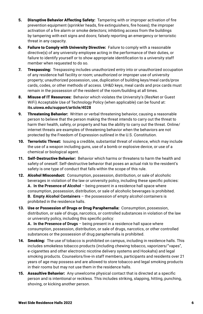- 5. Disruptive Behavior Affecting Safety: Tampering with or improper activation of fire prevention equipment (sprinkler heads, fire extinguishers, fire hoses); the improper activation of a fire alarm or smoke detectors; inhibiting access from the buildings by tampering with exit signs and doors; falsely reporting an emergency or terroristic threat in any capacity.
- 6. Failure to Comply with University Directive: Failure to comply with a reasonable directive(s) of any university employee acting in the performance of their duties, or failure to identify yourself or to show appropriate identification to a university staff member when requested to do so.
- 7. Trespassing: Trespassing includes unauthorized entry into or unauthorized occupation of any residence hall facility or room; unauthorized or improper use of university property; unauthorized possession, use, duplication of building keys/meal cards/prox cards, codes, or other methods of access. UH&D keys, meal cards and prox cards must remain in the possession of the resident of the room/building at all times.
- 8. Misuse of IT Resources: Behavior which violates the University's (ResNet or Guest WiFi) Acceptable Use of Technology Policy (when applicable) can be found at: **its.uiowa.edu/support/article/4028**
- 9. Threatening Behavior: Written or verbal threatening behavior, causing a reasonable person to believe that the person making the threat intends to carry out the threat to harm their health, safety, or property and has the ability to carry out the threat. Online/ internet threats are examples of threatening behavior when the behaviors are not protected by the Freedom of Expression outlined in the U.S. Constitution.
- **10. Terroristic Threat:** Issuing a credible, substantial threat of violence, which may include the use of a weapon including guns, use of a bomb or explosive device, or use of a chemical or biological agent.
- 11. Self-Destructive Behavior: Behavior which harms or threatens to harm the health and safety of oneself. Self-destructive behavior that poses an actual risk to the resident's safety is one type of conduct that falls within the scope of this rule.
- 12. Alcohol Misconduct: Consumption, possession, distribution, or sale of alcoholic beverages in violation of the law or university policy, including these specific policies: **A. In the Presence of Alcohol** – being present in a residence hall space where consumption, possession, distribution, or sale of alcoholic beverages is prohibited. **B. Empty Alcohol Containers** – the possession of empty alcohol containers is prohibited in the residence halls.
- 13. Use or Possession of Drugs or Drug Paraphernalia: Consumption, possession, distribution, or sale of drugs, narcotics, or controlled substances in violation of the law or university policy, including this specific policy:

**A. In the Presence of Drugs** – being present in a residence hall space where consumption, possession, distribution, or sale of drugs, narcotics, or other controlled substances or the possession of drug paraphernalia is prohibited.

- 14. Smoking: The use of tobacco is prohibited on campus, including in residence halls. This includes smokeless tobacco products (including chewing tobacco, vaporizers/"vapes", e-cigarettes and other electronic nicotine delivery systems and Hookahs) and legal smoking products. Counselors/live-in staff members, participants and residents over 21 years of age may possess and are allowed to store tobacco and legal smoking products in their rooms but may not use them in the residence halls.
- 15. Assaultive Behavior: Any unwelcome physical contact that is directed at a specific person and is intentional or reckless. This includes striking, slapping, hitting, punching, shoving, or kicking another person.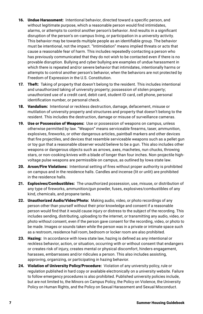- 16. Undue Harassment: Intentional behavior, directed toward a specific person, and without legitimate purpose, which a reasonable person would find intimidates, alarms, or attempts to control another person's behavior. And results in a significant disruption of the person's on-campus living, or participation in a university activity. This behavior may be towards multiple people as an identifiable group. The behavior must be intentional, not the impact. "Intimidation" means implied threats or acts that cause a reasonable fear of harm. This includes repeatedly contacting a person who has previously communicated that they do not wish to be contacted even if there is no provable disruption. Bullying and cyber bullying are examples of undue harassment in which there is repeated and/or severe behavior that intimidates, intentionally harms or attempts to control another person's behavior, when the behaviors are not protected by Freedom of Expression in the U.S. Constitution.
- **17. Theft:** Taking of property that doesn't belong to the resident. This includes intentional and unauthorized taking of university property; possession of stolen property; unauthorized use of a credit card, debit card, student ID card, cell phone, personal identification number, or personal check.
- 18. Vandalism: Intentional or reckless destruction, damage, defacement, misuse or mutilation of university property and structures and property that doesn't belong to the resident. This includes the destruction, damage or misuse of surveillance cameras.
- 19. Use or Possession of Weapons: Use or possession of weapons on campus, unless otherwise permitted by law. "Weapon" means serviceable firearms, taser, ammunition, explosives, fireworks, or other dangerous articles, paintball markers and other devices that fire projectiles, and devices that resemble serviceable weapons such as a pellet gun or toy gun that a reasonable observer would believe to be a gun. This also includes other weapons or dangerous objects such as arrows, axes, machetes, nun chucks, throwing stars, or non-cooking knives with a blade of longer than four inches. Non-projectile highvoltage pulse weapons are permissible on campus, as outlined by Iowa state law.
- 20. Arson/Fire Violations: Intentional setting of fires without proper authority is prohibited on campus and in the residence halls. Candles and incense (lit or unlit) are prohibited in the residence halls.
- 21. Explosives/Combustibles: The unauthorized possession, use, misuse, or distribution of any type of fireworks, ammunition/gun powder, fuses, explosives/combustibles of any kind, chemicals, and propane tanks.
- 22. Unauthorized Audio/Video/Photo: Making audio, video, or photo recordings of any person other than yourself without their prior knowledge and consent if a reasonable person would find that it would cause injury or distress to the subject of the recording. This includes sending, distributing, uploading to the internet, or transmitting any audio, video, or photo without consent, even if the person gave consent for the recording, video, or photo to be made. Images or sounds taken while the person was in a private or intimate space such as a restroom, residence hall room, bedroom or locker room are also prohibited.
- 23. Hazing: In accordance with lowa state law, hazing is defined as any intentional or reckless behavior, action, or situation, occurring with or without consent that endangers or creates risk of injury, creates mental or physical discomfort, hinders engagement, harasses, embarrasses and/or ridicules a person. This also includes assisting, approving, organizing, or participating in hazing behavior.
- 24. Violation of University Policy/Procedure: Violation of any university policy, rule or regulation published in hard copy or available electronically on a university website. Failure to follow emergency procedures is also prohibited. Published university policies include, but are not limited to, the Minors on Campus Policy, the Policy on Violence, the University Policy on Human Rights, and the Policy on Sexual Harassment and Sexual Misconduct.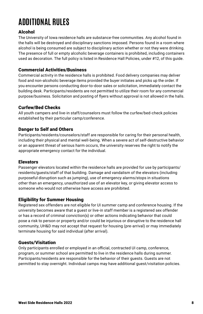# **ADDITIONAL RULES**

# Alcohol

The University of Iowa residence halls are substance-free communities. Any alcohol found in the halls will be destroyed and disciplinary sanctions imposed. Persons found in a room where alcohol is being consumed are subject to disciplinary action whether or not they were drinking. The presence of full or empty alcoholic beverage containers is prohibited, including containers used as decoration. The full policy is listed in Residence Hall Policies, under #12, of this guide.

### Commercial Activities/Business

Commercial activity in the residence halls is prohibited. Food delivery companies may deliver food and non-alcoholic beverage items provided the buyer initiates and picks up the order. If you encounter persons conducting door-to-door sales or solicitation, immediately contact the building desk. Participants/residents are not permitted to utilize their room for any commercial purpose/business. Solicitation and posting of flyers without approval is not allowed in the halls.

### Curfew/Bed Checks

All youth campers and live-in staff/counselors must follow the curfew/bed-check policies established by their particular camp/conference.

### Danger to Self and Others

Participants/residents/counselors/staff are responsible for caring for their personal health, including their physical and mental well-being. When a severe act of self-destructive behavior or an apparent threat of serious harm occurs, the university reserves the right to notify the appropriate emergency contact for the individual.

### **Elevators**

Passenger elevators located within the residence halls are provided for use by participants/ residents/guests/staff of that building. Damage and vandalism of the elevators (including purposeful disruption such as jumping), use of emergency alarms/stops in situations other than an emergency, unauthorized use of an elevator key, or giving elevator access to someone who would not otherwise have access are prohibited.

### Eligibility for Summer Housing

Registered sex offenders are not eligible for UI summer camp and conference housing. If the university becomes aware that a guest or live-in staff member is a registered sex offender or has a record of criminal conviction(s) or other actions indicating behavior that could pose a risk to person or property and/or could be injurious or disruptive to the residence hall community, UH&D may not accept that request for housing (pre-arrival) or may immediately terminate housing for said individual (after arrival).

### Guests/Visitation

Only participants enrolled or employed in an official, contracted UI camp, conference, program, or summer school are permitted to live in the residence halls during summer. Participants/residents are responsible for the behavior of their guests. Guests are not permitted to stay overnight. Individual camps may have additional guest/visitation policies.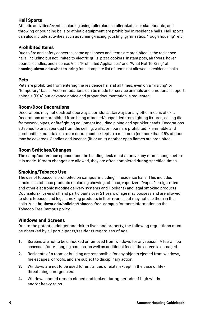# Hall Sports

Athletic activities/events including using rollerblades, roller-skates, or skateboards, and throwing or bouncing balls or athletic equipment are prohibited in residence halls. Hall sports can also include activities such as running/racing, jousting, gymnastics, "rough housing", etc.

# Prohibited Items

Due to fire and safety concerns, some appliances and items are prohibited in the residence halls, including but not limited to electric grills, pizza cookers, instant pots, air fryers, hover boards, candles, and incense. Visit "Prohibited Appliances" and "What Not To Bring" at **housing.uiowa.edu/what-to-bring** for a complete list of items not allowed in residence halls.

# Pets

Pets are prohibited from entering the residence halls at all times, even on a "visiting" or "temporary" basis. Accommodations can be made for service animals and emotional support animals (ESA) but advance notice and proper documentation is requested.

# Room/Door Decorations

Decorations may not obstruct doorways, corridors, stairways or any other means of exit. Decorations are prohibited from being attached/suspended from lighting fixtures, ceiling tile framework, pipes, or firefighting equipment including piping and sprinkler heads. Decorations attached to or suspended from the ceiling, walls, or floors are prohibited. Flammable and combustible materials on room doors must be kept to a minimum (no more than 25% of door may be covered). Candles and incense (lit or unlit) or other open flames are prohibited.

# Room Switches/Changes

The camp/conference sponsor and the building desk must approve any room change before it is made. If room changes are allowed, they are often completed during specified times.

### Smoking/Tobacco Use

The use of tobacco is prohibited on campus, including in residence halls. This includes smokeless tobacco products (including chewing tobacco, vaporizers "vapes", e-cigarettes and other electronic nicotine delivery systems and Hookahs) and legal smoking products. Counselors/live-in staff and participants over 21 years of age may possess and are allowed to store tobacco and legal smoking products in their rooms, but may not use them in the halls. Visit **hr.uiowa.edu/policies/tobacco-free-campus** for more information on the Tobacco Free Campus policy.

### Windows and Screens

Due to the potential danger and risk to lives and property, the following regulations must be observed by all participants/residents regardless of age:

- 1. Screens are not to be unhooked or removed from windows for any reason. A fee will be assessed for re-hanging screens, as well as additional fees if the screen is damaged.
- 2. Residents of a room or building are responsible for any objects ejected from windows, fire escapes, or roofs, and are subject to disciplinary action.
- 3. Windows are not to be used for entrances or exits, except in the case of lifethreatening emergencies.
- 4. Windows should remain closed and locked during periods of high winds and/or heavy rains.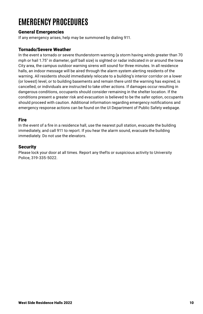# **EMERGENCY PROCEDURES**

### General Emergencies

If any emergency arises, help may be summoned by dialing 911.

### Tornado/Severe Weather

In the event a tornado or severe thunderstorm warning (a storm having winds greater than 70 mph or hail 1.75″ in diameter, golf ball size) is sighted or radar indicated in or around the Iowa City area, the campus outdoor warning sirens will sound for three minutes. In all residence halls, an indoor message will be aired through the alarm system alerting residents of the warning. All residents should immediately relocate to a building's interior corridor on a lower (or lowest) level, or to building basements and remain there until the warning has expired, is cancelled, or individuals are instructed to take other actions. If damages occur resulting in dangerous conditions, occupants should consider remaining in the shelter location. If the conditions present a greater risk and evacuation is believed to be the safer option, occupants should proceed with caution. Additional information regarding emergency notifications and emergency response actions can be found on the UI Department of Public Safety webpage.

### Fire

In the event of a fire in a residence hall, use the nearest pull station, evacuate the building immediately, and call 911 to report. If you hear the alarm sound, evacuate the building immediately. Do not use the elevators.

### Security

Please lock your door at all times. Report any thefts or suspicious activity to University Police, 319-335-5022.